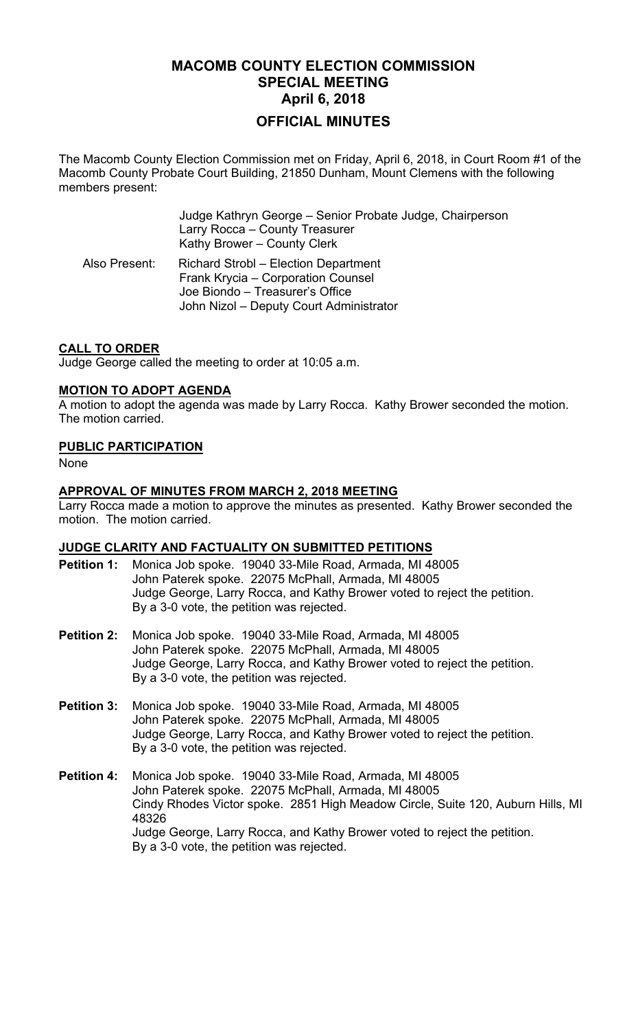# **MACOMB COUNTY ELECTION COMMISSION SPECIAL MEETING April 6, 2018 OFFICIAL MINUTES**

The Macomb County Election Commission met on Friday, April 6, 2018, in Court Room #1 of the Macomb County Probate Court Building, 21850 Dunham, Mount Clemens with the following members present:

 Judge Kathryn George – Senior Probate Judge, Chairperson Larry Rocca – County Treasurer Kathy Brower – County Clerk Also Present: Richard Strobl – Election Department Frank Krycia – Corporation Counsel Joe Biondo – Treasurer's Office John Nizol – Deputy Court Administrator

## **CALL TO ORDER**

Judge George called the meeting to order at 10:05 a.m.

## **MOTION TO ADOPT AGENDA**

A motion to adopt the agenda was made by Larry Rocca. Kathy Brower seconded the motion. The motion carried.

## **PUBLIC PARTICIPATION**

None

#### **APPROVAL OF MINUTES FROM MARCH 2, 2018 MEETING**

Larry Rocca made a motion to approve the minutes as presented. Kathy Brower seconded the motion. The motion carried.

## **JUDGE CLARITY AND FACTUALITY ON SUBMITTED PETITIONS**

- **Petition 1:** Monica Job spoke. 19040 33-Mile Road, Armada, MI 48005 John Paterek spoke. 22075 McPhall, Armada, MI 48005 Judge George, Larry Rocca, and Kathy Brower voted to reject the petition. By a 3-0 vote, the petition was rejected.
- **Petition 2:** Monica Job spoke. 19040 33-Mile Road, Armada, MI 48005 John Paterek spoke. 22075 McPhall, Armada, MI 48005 Judge George, Larry Rocca, and Kathy Brower voted to reject the petition. By a 3-0 vote, the petition was rejected.
- **Petition 3:** Monica Job spoke. 19040 33-Mile Road, Armada, MI 48005 John Paterek spoke. 22075 McPhall, Armada, MI 48005 Judge George, Larry Rocca, and Kathy Brower voted to reject the petition. By a 3-0 vote, the petition was rejected.
- **Petition 4:** Monica Job spoke. 19040 33-Mile Road, Armada, MI 48005 John Paterek spoke. 22075 McPhall, Armada, MI 48005 Cindy Rhodes Victor spoke. 2851 High Meadow Circle, Suite 120, Auburn Hills, MI 48326 Judge George, Larry Rocca, and Kathy Brower voted to reject the petition. By a 3-0 vote, the petition was rejected.